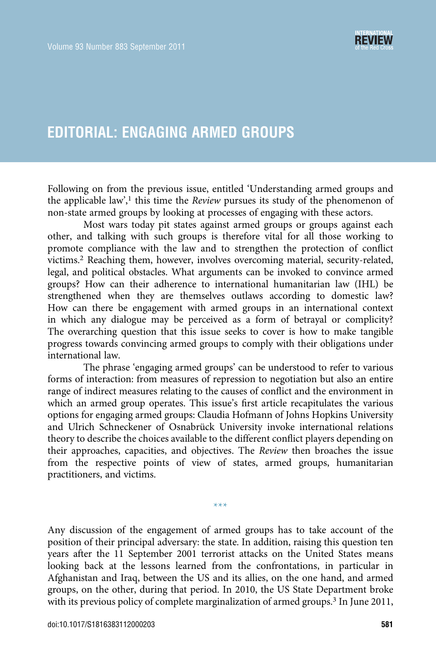

## EDITORIAL: ENGAGING ARMED GROUPS

Following on from the previous issue, entitled 'Understanding armed groups and the applicable law',<sup>1</sup> this time the Review pursues its study of the phenomenon of non-state armed groups by looking at processes of engaging with these actors.

Most wars today pit states against armed groups or groups against each other, and talking with such groups is therefore vital for all those working to promote compliance with the law and to strengthen the protection of conflict victims.2 Reaching them, however, involves overcoming material, security-related, legal, and political obstacles. What arguments can be invoked to convince armed groups? How can their adherence to international humanitarian law (IHL) be strengthened when they are themselves outlaws according to domestic law? How can there be engagement with armed groups in an international context in which any dialogue may be perceived as a form of betrayal or complicity? The overarching question that this issue seeks to cover is how to make tangible progress towards convincing armed groups to comply with their obligations under international law.

The phrase 'engaging armed groups' can be understood to refer to various forms of interaction: from measures of repression to negotiation but also an entire range of indirect measures relating to the causes of conflict and the environment in which an armed group operates. This issue's first article recapitulates the various options for engaging armed groups: Claudia Hofmann of Johns Hopkins University and Ulrich Schneckener of Osnabrück University invoke international relations theory to describe the choices available to the different conflict players depending on their approaches, capacities, and objectives. The Review then broaches the issue from the respective points of view of states, armed groups, humanitarian practitioners, and victims.

Any discussion of the engagement of armed groups has to take account of the position of their principal adversary: the state. In addition, raising this question ten years after the 11 September 2001 terrorist attacks on the United States means looking back at the lessons learned from the confrontations, in particular in Afghanistan and Iraq, between the US and its allies, on the one hand, and armed groups, on the other, during that period. In 2010, the US State Department broke with its previous policy of complete marginalization of armed groups.<sup>3</sup> In June 2011,

\*\*\*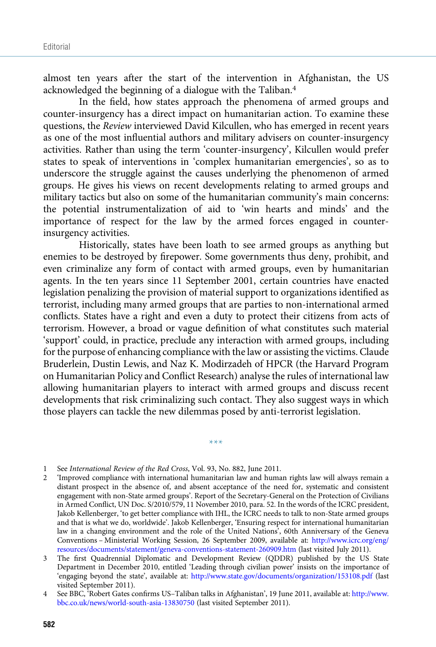almost ten years after the start of the intervention in Afghanistan, the US acknowledged the beginning of a dialogue with the Taliban.4

In the field, how states approach the phenomena of armed groups and counter-insurgency has a direct impact on humanitarian action. To examine these questions, the Review interviewed David Kilcullen, who has emerged in recent years as one of the most influential authors and military advisers on counter-insurgency activities. Rather than using the term 'counter-insurgency', Kilcullen would prefer states to speak of interventions in 'complex humanitarian emergencies', so as to underscore the struggle against the causes underlying the phenomenon of armed groups. He gives his views on recent developments relating to armed groups and military tactics but also on some of the humanitarian community's main concerns: the potential instrumentalization of aid to 'win hearts and minds' and the importance of respect for the law by the armed forces engaged in counterinsurgency activities.

Historically, states have been loath to see armed groups as anything but enemies to be destroyed by firepower. Some governments thus deny, prohibit, and even criminalize any form of contact with armed groups, even by humanitarian agents. In the ten years since 11 September 2001, certain countries have enacted legislation penalizing the provision of material support to organizations identified as terrorist, including many armed groups that are parties to non-international armed conflicts. States have a right and even a duty to protect their citizens from acts of terrorism. However, a broad or vague definition of what constitutes such material 'support' could, in practice, preclude any interaction with armed groups, including for the purpose of enhancing compliance with the law or assisting the victims. Claude Bruderlein, Dustin Lewis, and Naz K. Modirzadeh of HPCR (the Harvard Program on Humanitarian Policy and Conflict Research) analyse the rules of international law allowing humanitarian players to interact with armed groups and discuss recent developments that risk criminalizing such contact. They also suggest ways in which those players can tackle the new dilemmas posed by anti-terrorist legislation.

\*\*\*

<sup>1</sup> See International Review of the Red Cross, Vol. 93, No. 882, June 2011.

<sup>2</sup> 'Improved compliance with international humanitarian law and human rights law will always remain a distant prospect in the absence of, and absent acceptance of the need for, systematic and consistent engagement with non-State armed groups'. Report of the Secretary-General on the Protection of Civilians in Armed Conflict, UN Doc. S/2010/579, 11 November 2010, para. 52. In the words of the ICRC president, Jakob Kellenberger, 'to get better compliance with IHL, the ICRC needs to talk to non-State armed groups and that is what we do, worldwide'. Jakob Kellenberger, 'Ensuring respect for international humanitarian law in a changing environment and the role of the United Nations', 60th Anniversary of the Geneva Conventions – Ministerial Working Session, 26 September 2009, available at: [http://www.icrc.org/eng/](http://www.icrc.org/eng/resources/documents/statement/geneva-conventions-statement-260909.htm) [resources/documents/statement/geneva-conventions-statement-260909.htm](http://www.icrc.org/eng/resources/documents/statement/geneva-conventions-statement-260909.htm) (last visited July 2011).

<sup>3</sup> The first Quadrennial Diplomatic and Development Review (QDDR) published by the US State Department in December 2010, entitled 'Leading through civilian power' insists on the importance of 'engaging beyond the state', available at: <http://www.state.gov/documents/organization/153108.pdf> (last visited September 2011).

<sup>4</sup> See BBC, 'Robert Gates confirms US–Taliban talks in Afghanistan', 19 June 2011, available at: [http://www.](http://www.bbc.co.uk/news/world-south-asia-13830750) [bbc.co.uk/news/world-south-asia-13830750](http://www.bbc.co.uk/news/world-south-asia-13830750) (last visited September 2011).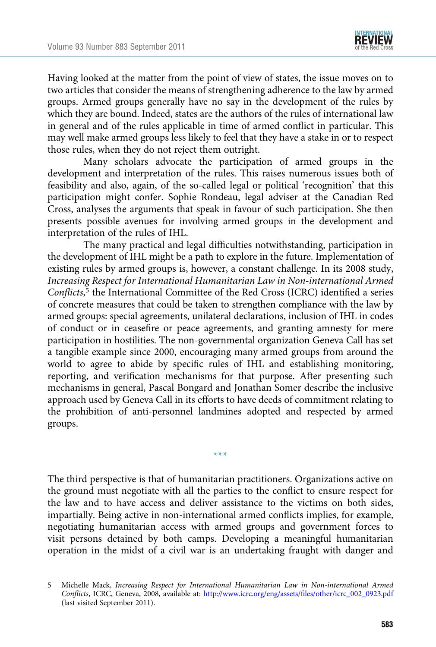

Having looked at the matter from the point of view of states, the issue moves on to two articles that consider the means of strengthening adherence to the law by armed groups. Armed groups generally have no say in the development of the rules by which they are bound. Indeed, states are the authors of the rules of international law in general and of the rules applicable in time of armed conflict in particular. This may well make armed groups less likely to feel that they have a stake in or to respect those rules, when they do not reject them outright.

Many scholars advocate the participation of armed groups in the development and interpretation of the rules. This raises numerous issues both of feasibility and also, again, of the so-called legal or political 'recognition' that this participation might confer. Sophie Rondeau, legal adviser at the Canadian Red Cross, analyses the arguments that speak in favour of such participation. She then presents possible avenues for involving armed groups in the development and interpretation of the rules of IHL.

The many practical and legal difficulties notwithstanding, participation in the development of IHL might be a path to explore in the future. Implementation of existing rules by armed groups is, however, a constant challenge. In its 2008 study, Increasing Respect for International Humanitarian Law in Non-international Armed Conflicts,<sup>5</sup> the International Committee of the Red Cross (ICRC) identified a series of concrete measures that could be taken to strengthen compliance with the law by armed groups: special agreements, unilateral declarations, inclusion of IHL in codes of conduct or in ceasefire or peace agreements, and granting amnesty for mere participation in hostilities. The non-governmental organization Geneva Call has set a tangible example since 2000, encouraging many armed groups from around the world to agree to abide by specific rules of IHL and establishing monitoring, reporting, and verification mechanisms for that purpose. After presenting such mechanisms in general, Pascal Bongard and Jonathan Somer describe the inclusive approach used by Geneva Call in its efforts to have deeds of commitment relating to the prohibition of anti-personnel landmines adopted and respected by armed groups.

The third perspective is that of humanitarian practitioners. Organizations active on the ground must negotiate with all the parties to the conflict to ensure respect for the law and to have access and deliver assistance to the victims on both sides, impartially. Being active in non-international armed conflicts implies, for example, negotiating humanitarian access with armed groups and government forces to visit persons detained by both camps. Developing a meaningful humanitarian operation in the midst of a civil war is an undertaking fraught with danger and

\*\*\*

<sup>5</sup> Michelle Mack, Increasing Respect for International Humanitarian Law in Non-international Armed Conflicts, ICRC, Geneva, 2008, available at: [http://www.icrc.org/eng/assets/](http://www.icrc.org/eng/assets/files/other/icrc_002_0923.pdf)files/other/icrc\_002\_0923.pdf (last visited September 2011).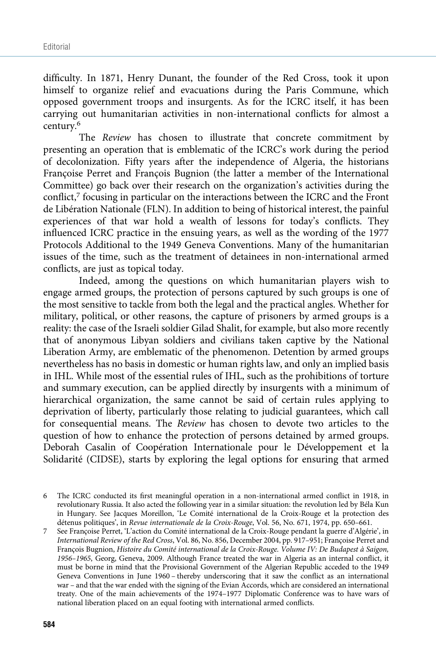difficulty. In 1871, Henry Dunant, the founder of the Red Cross, took it upon himself to organize relief and evacuations during the Paris Commune, which opposed government troops and insurgents. As for the ICRC itself, it has been carrying out humanitarian activities in non-international conflicts for almost a century.6

The Review has chosen to illustrate that concrete commitment by presenting an operation that is emblematic of the ICRC's work during the period of decolonization. Fifty years after the independence of Algeria, the historians Françoise Perret and François Bugnion (the latter a member of the International Committee) go back over their research on the organization's activities during the conflict,<sup>7</sup> focusing in particular on the interactions between the ICRC and the Front de Libération Nationale (FLN). In addition to being of historical interest, the painful experiences of that war hold a wealth of lessons for today's conflicts. They influenced ICRC practice in the ensuing years, as well as the wording of the 1977 Protocols Additional to the 1949 Geneva Conventions. Many of the humanitarian issues of the time, such as the treatment of detainees in non-international armed conflicts, are just as topical today.

Indeed, among the questions on which humanitarian players wish to engage armed groups, the protection of persons captured by such groups is one of the most sensitive to tackle from both the legal and the practical angles. Whether for military, political, or other reasons, the capture of prisoners by armed groups is a reality: the case of the Israeli soldier Gilad Shalit, for example, but also more recently that of anonymous Libyan soldiers and civilians taken captive by the National Liberation Army, are emblematic of the phenomenon. Detention by armed groups nevertheless has no basis in domestic or human rights law, and only an implied basis in IHL. While most of the essential rules of IHL, such as the prohibitions of torture and summary execution, can be applied directly by insurgents with a minimum of hierarchical organization, the same cannot be said of certain rules applying to deprivation of liberty, particularly those relating to judicial guarantees, which call for consequential means. The Review has chosen to devote two articles to the question of how to enhance the protection of persons detained by armed groups. Deborah Casalin of Coopération Internationale pour le Développement et la Solidarité (CIDSE), starts by exploring the legal options for ensuring that armed

<sup>6</sup> The ICRC conducted its first meaningful operation in a non-international armed conflict in 1918, in revolutionary Russia. It also acted the following year in a similar situation: the revolution led by Béla Kun in Hungary. See Jacques Moreillon, 'Le Comité international de la Croix-Rouge et la protection des détenus politiques', in Revue internationale de la Croix-Rouge, Vol. 56, No. 671, 1974, pp. 650–661.

<sup>7</sup> See Françoise Perret, 'L'action du Comité international de la Croix-Rouge pendant la guerre d'Algérie', in International Review of the Red Cross, Vol. 86, No. 856, December 2004, pp. 917–951; Françoise Perret and François Bugnion, Histoire du Comité international de la Croix-Rouge. Volume IV: De Budapest à Saigon, 1956*–*1965, Georg, Geneva, 2009. Although France treated the war in Algeria as an internal conflict, it must be borne in mind that the Provisional Government of the Algerian Republic acceded to the 1949 Geneva Conventions in June 1960 – thereby underscoring that it saw the conflict as an international war – and that the war ended with the signing of the Evian Accords, which are considered an international treaty. One of the main achievements of the 1974–1977 Diplomatic Conference was to have wars of national liberation placed on an equal footing with international armed conflicts.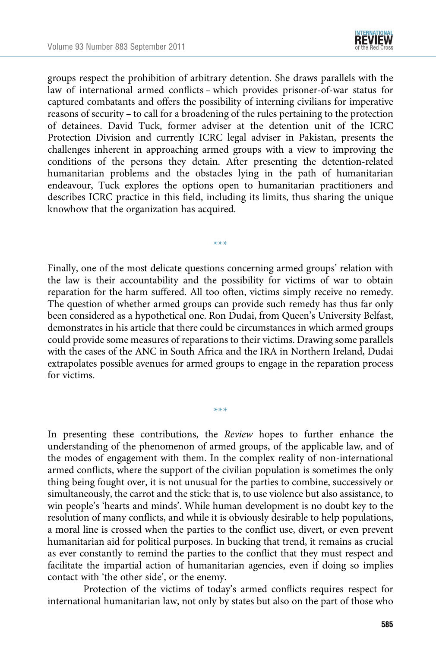

groups respect the prohibition of arbitrary detention. She draws parallels with the law of international armed conflicts – which provides prisoner-of-war status for captured combatants and offers the possibility of interning civilians for imperative reasons of security – to call for a broadening of the rules pertaining to the protection of detainees. David Tuck, former adviser at the detention unit of the ICRC Protection Division and currently ICRC legal adviser in Pakistan, presents the challenges inherent in approaching armed groups with a view to improving the conditions of the persons they detain. After presenting the detention-related humanitarian problems and the obstacles lying in the path of humanitarian endeavour, Tuck explores the options open to humanitarian practitioners and describes ICRC practice in this field, including its limits, thus sharing the unique knowhow that the organization has acquired.

Finally, one of the most delicate questions concerning armed groups' relation with the law is their accountability and the possibility for victims of war to obtain reparation for the harm suffered. All too often, victims simply receive no remedy. The question of whether armed groups can provide such remedy has thus far only been considered as a hypothetical one. Ron Dudai, from Queen's University Belfast, demonstrates in his article that there could be circumstances in which armed groups could provide some measures of reparations to their victims. Drawing some parallels with the cases of the ANC in South Africa and the IRA in Northern Ireland, Dudai extrapolates possible avenues for armed groups to engage in the reparation process for victims.

\*\*\*

\*\*\*

In presenting these contributions, the Review hopes to further enhance the understanding of the phenomenon of armed groups, of the applicable law, and of the modes of engagement with them. In the complex reality of non-international armed conflicts, where the support of the civilian population is sometimes the only thing being fought over, it is not unusual for the parties to combine, successively or simultaneously, the carrot and the stick: that is, to use violence but also assistance, to win people's 'hearts and minds'. While human development is no doubt key to the resolution of many conflicts, and while it is obviously desirable to help populations, a moral line is crossed when the parties to the conflict use, divert, or even prevent humanitarian aid for political purposes. In bucking that trend, it remains as crucial as ever constantly to remind the parties to the conflict that they must respect and facilitate the impartial action of humanitarian agencies, even if doing so implies contact with 'the other side', or the enemy.

Protection of the victims of today's armed conflicts requires respect for international humanitarian law, not only by states but also on the part of those who